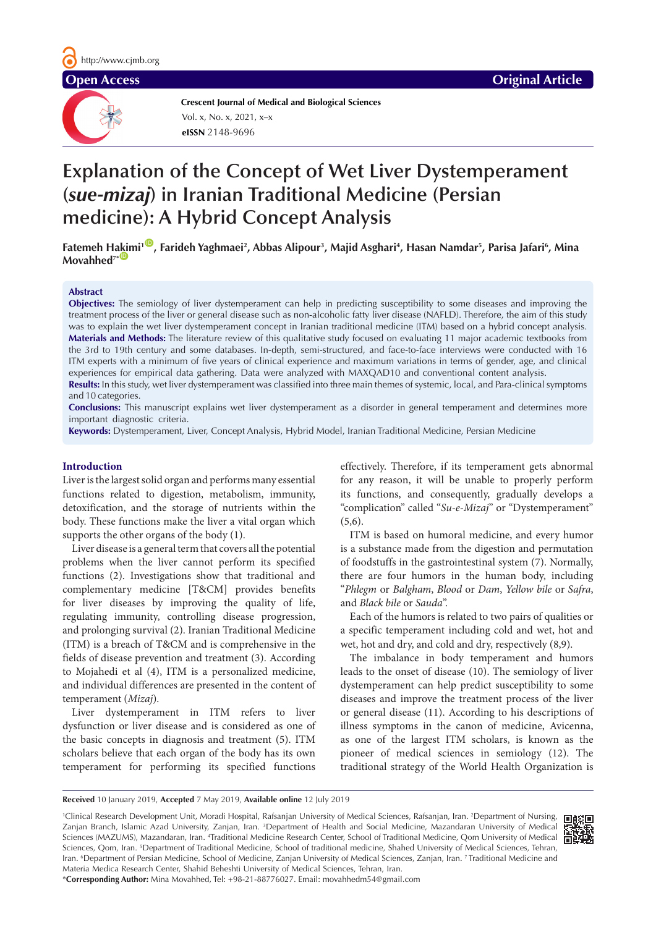**Crescent Journal of Medical and Biological Sciences eISSN** 2148-9696 Vol. x, No. x, 2021, x–x

# **Explanation of the Concept of Wet Liver Dystemperament (***sue-mizaj***) in Iranian Traditional Medicine (Persian medicine): A Hybrid Concept Analysis**

**Fatemeh H[akim](https://orcid.org/0000-0002-5120-7082)i1** [ID](https://orcid.org/0000-0002-4343-2968) **, Farideh Yaghmaei2 , Abbas Alipour3 , Majid Asghari4 , Hasan Namdar5 , Parisa Jafari6 , Mina**   $Movahhed<sup>7*</sup>$ 

# **Abstract**

**Objectives:** The semiology of liver dystemperament can help in predicting susceptibility to some diseases and improving the treatment process of the liver or general disease such as non-alcoholic fatty liver disease (NAFLD). Therefore, the aim of this study was to explain the wet liver dystemperament concept in Iranian traditional medicine (ITM) based on a hybrid concept analysis. **Materials and Methods:** The literature review of this qualitative study focused on evaluating 11 major academic textbooks from the 3rd to 19th century and some databases. In-depth, semi-structured, and face-to-face interviews were conducted with 16 ITM experts with a minimum of five years of clinical experience and maximum variations in terms of gender, age, and clinical experiences for empirical data gathering. Data were analyzed with MAXQAD10 and conventional content analysis. **Results:** In this study, wet liver dystemperament was classified into three main themes of systemic, local, and Para-clinical symptoms and 10 categories.

**Conclusions:** This manuscript explains wet liver dystemperament as a disorder in general temperament and determines more important diagnostic criteria.

**Keywords:** Dystemperament, Liver, Concept Analysis, Hybrid Model, Iranian Traditional Medicine, Persian Medicine

# **Introduction**

Liver is the largest solid organ and performs many essential functions related to digestion, metabolism, immunity, detoxification, and the storage of nutrients within the body. These functions make the liver a vital organ which supports the other organs of the body (1).

Liver disease is a general term that covers all the potential problems when the liver cannot perform its specified functions (2). Investigations show that traditional and complementary medicine [T&CM] provides benefits for liver diseases by improving the quality of life, regulating immunity, controlling disease progression, and prolonging survival (2). Iranian Traditional Medicine (ITM) is a breach of T&CM and is comprehensive in the fields of disease prevention and treatment (3). According to Mojahedi et al (4), ITM is a personalized medicine, and individual differences are presented in the content of temperament (*Mizaj*).

Liver dystemperament in ITM refers to liver dysfunction or liver disease and is considered as one of the basic concepts in diagnosis and treatment (5). ITM scholars believe that each organ of the body has its own temperament for performing its specified functions effectively. Therefore, if its temperament gets abnormal for any reason, it will be unable to properly perform its functions, and consequently, gradually develops a "complication" called "*Su-e-Mizaj*" or "Dystemperament"  $(5,6)$ .

ITM is based on humoral medicine, and every humor is a substance made from the digestion and permutation of foodstuffs in the gastrointestinal system (7). Normally, there are four humors in the human body, including "*Phlegm* or *Balgham*, *Blood* or *Dam*, *Yellow bile* or *Safra*, and *Black bile* or *Sauda*".

Each of the humors is related to two pairs of qualities or a specific temperament including cold and wet, hot and wet, hot and dry, and cold and dry, respectively (8,9).

The imbalance in body temperament and humors leads to the onset of disease (10). The semiology of liver dystemperament can help predict susceptibility to some diseases and improve the treatment process of the liver or general disease (11). According to his descriptions of illness symptoms in the canon of medicine, Avicenna, as one of the largest ITM scholars, is known as the pioneer of medical sciences in semiology (12). The traditional strategy of the World Health Organization is

**Received** 10 January 2019, **Accepted** 7 May 2019, **Available online** 12 July 2019

1 Clinical Research Development Unit, Moradi Hospital, Rafsanjan University of Medical Sciences, Rafsanjan, Iran. 2 Department of Nursing, Zanjan Branch, Islamic Azad University, Zanjan, Iran. <sup>3</sup>Department of Health and Social Medicine, Mazandaran University of Medical Sciences (MAZUMS), Mazandaran, Iran. 4 Traditional Medicine Research Center, School of Traditional Medicine, Qom University of Medical Sciences, Qom, Iran. 5 Department of Traditional Medicine, School of traditional medicine, Shahed University of Medical Sciences, Tehran, Iran. 6 Department of Persian Medicine, School of Medicine, Zanjan University of Medical Sciences, Zanjan, Iran. 7 Traditional Medicine and Materia Medica Research Center, Shahid Beheshti University of Medical Sciences, Tehran, Iran.



\***Corresponding Author:** Mina Movahhed, Tel: +98-21-88776027. Email: movahhedm54@gmail.com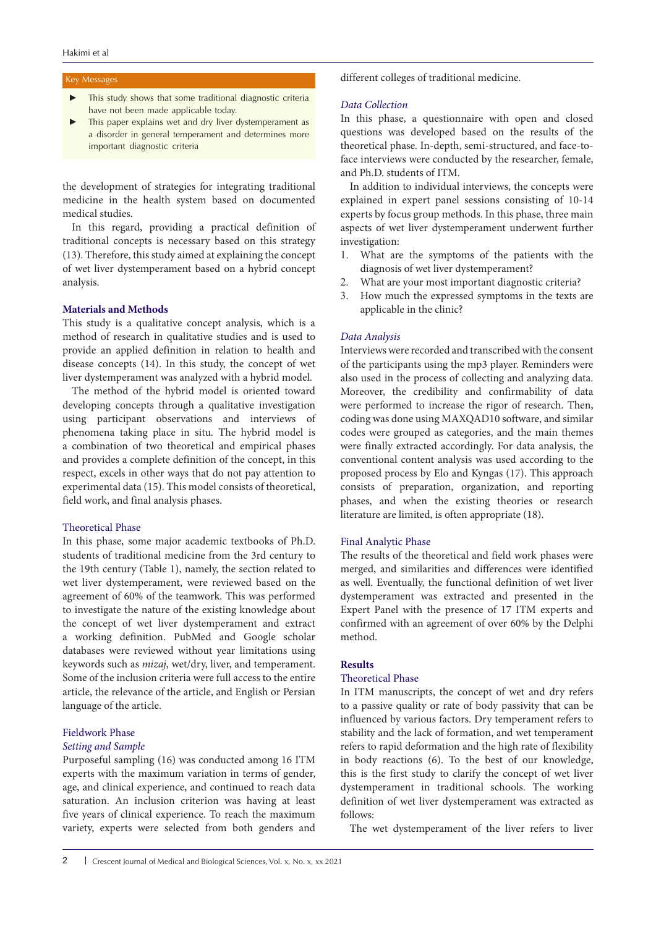#### Key Messages

- This study shows that some traditional diagnostic criteria have not been made applicable today.
- This paper explains wet and dry liver dystemperament as a disorder in general temperament and determines more important diagnostic criteria

the development of strategies for integrating traditional medicine in the health system based on documented medical studies.

In this regard, providing a practical definition of traditional concepts is necessary based on this strategy (13). Therefore, this study aimed at explaining the concept of wet liver dystemperament based on a hybrid concept analysis.

# **Materials and Methods**

This study is a qualitative concept analysis, which is a method of research in qualitative studies and is used to provide an applied definition in relation to health and disease concepts (14). In this study, the concept of wet liver dystemperament was analyzed with a hybrid model.

The method of the hybrid model is oriented toward developing concepts through a qualitative investigation using participant observations and interviews of phenomena taking place in situ. The hybrid model is a combination of two theoretical and empirical phases and provides a complete definition of the concept, in this respect, excels in other ways that do not pay attention to experimental data (15). This model consists of theoretical, field work, and final analysis phases.

#### Theoretical Phase

In this phase, some major academic textbooks of Ph.D. students of traditional medicine from the 3rd century to the 19th century (Table 1), namely, the section related to wet liver dystemperament, were reviewed based on the agreement of 60% of the teamwork. This was performed to investigate the nature of the existing knowledge about the concept of wet liver dystemperament and extract a working definition. PubMed and Google scholar databases were reviewed without year limitations using keywords such as *mizaj*, wet/dry, liver, and temperament. Some of the inclusion criteria were full access to the entire article, the relevance of the article, and English or Persian language of the article.

# Fieldwork Phase *Setting and Sample*

Purposeful sampling (16) was conducted among 16 ITM experts with the maximum variation in terms of gender, age, and clinical experience, and continued to reach data saturation. An inclusion criterion was having at least five years of clinical experience. To reach the maximum variety, experts were selected from both genders and different colleges of traditional medicine.

# *Data Collection*

In this phase, a questionnaire with open and closed questions was developed based on the results of the theoretical phase. In-depth, semi-structured, and face-toface interviews were conducted by the researcher, female, and Ph.D. students of ITM.

In addition to individual interviews, the concepts were explained in expert panel sessions consisting of 10-14 experts by focus group methods. In this phase, three main aspects of wet liver dystemperament underwent further investigation:

- 1. What are the symptoms of the patients with the diagnosis of wet liver dystemperament?
- 2. What are your most important diagnostic criteria?
- 3. How much the expressed symptoms in the texts are applicable in the clinic?

# *Data Analysis*

Interviews were recorded and transcribed with the consent of the participants using the mp3 player. Reminders were also used in the process of collecting and analyzing data. Moreover, the credibility and confirmability of data were performed to increase the rigor of research. Then, coding was done using MAXQAD10 software, and similar codes were grouped as categories, and the main themes were finally extracted accordingly. For data analysis, the conventional content analysis was used according to the proposed process by Elo and Kyngas (17). This approach consists of preparation, organization, and reporting phases, and when the existing theories or research literature are limited, is often appropriate (18).

#### Final Analytic Phase

The results of the theoretical and field work phases were merged, and similarities and differences were identified as well. Eventually, the functional definition of wet liver dystemperament was extracted and presented in the Expert Panel with the presence of 17 ITM experts and confirmed with an agreement of over 60% by the Delphi method.

# **Results**

# Theoretical Phase

In ITM manuscripts, the concept of wet and dry refers to a passive quality or rate of body passivity that can be influenced by various factors. Dry temperament refers to stability and the lack of formation, and wet temperament refers to rapid deformation and the high rate of flexibility in body reactions (6). To the best of our knowledge, this is the first study to clarify the concept of wet liver dystemperament in traditional schools. The working definition of wet liver dystemperament was extracted as follows:

The wet dystemperament of the liver refers to liver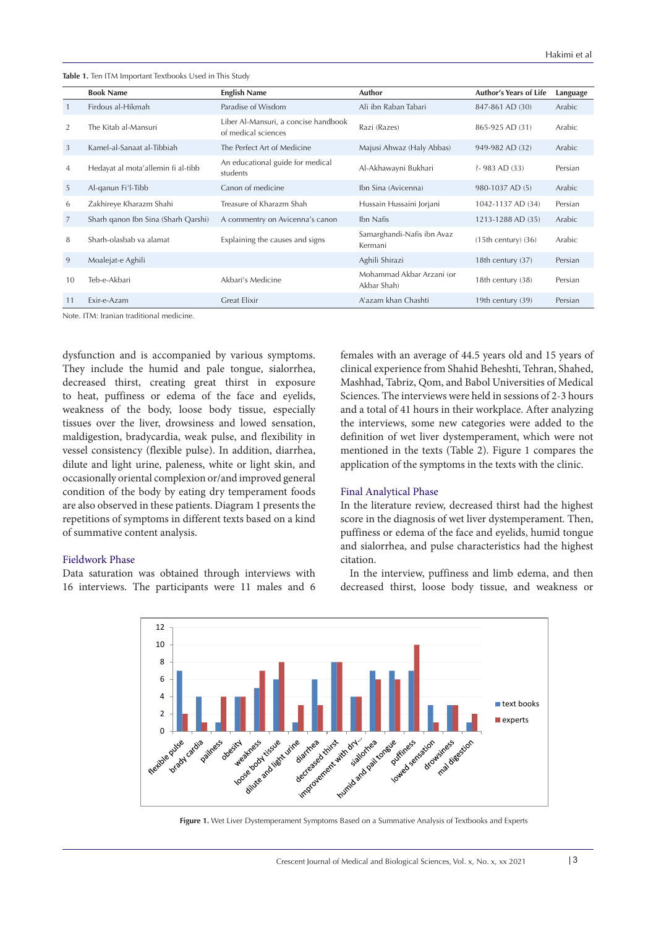**Table 1.** Ten ITM Important Textbooks Used in This Study

|                | <b>Book Name</b>                    | <b>English Name</b>                                         | Author                                   | <b>Author's Years of Life</b> | Language |
|----------------|-------------------------------------|-------------------------------------------------------------|------------------------------------------|-------------------------------|----------|
|                | Firdous al-Hikmah                   | Paradise of Wisdom                                          | Ali ibn Raban Tabari                     | 847-861 AD (30)               | Arabic   |
| 2              | The Kitab al-Mansuri                | Liber Al-Mansuri, a concise handbook<br>of medical sciences | Razi (Razes)                             | 865-925 AD (31)               | Arabic   |
| 3              | Kamel-al-Sanaat al-Tibbiah          | The Perfect Art of Medicine                                 | Majusi Ahwaz (Haly Abbas)                | 949-982 AD (32)               | Arabic   |
| $\overline{4}$ | Hedayat al mota'allemin fi al-tibb  | An educational guide for medical<br>students                | Al-Akhawayni Bukhari                     | $3 - 983$ AD $(33)$           | Persian  |
| 5              | Al-ganun Fi'l-Tibb                  | Canon of medicine                                           | Ibn Sina (Avicenna)                      | 980-1037 AD (5)               | Arabic   |
| 6              | Zakhireye Kharazm Shahi             | Treasure of Kharazm Shah                                    | Hussain Hussaini Jorjani                 | 1042-1137 AD (34)             | Persian  |
| 7              | Sharh qanon Ibn Sina (Sharh Qarshi) | A commentry on Avicenna's canon                             | Ibn Nafis                                | 1213-1288 AD (35)             | Arabic   |
| 8              | Sharh-olasbab va alamat             | Explaining the causes and signs                             | Samarghandi-Nafis ibn Avaz<br>Kermani    | $(15th century)$ $(36)$       | Arabic   |
| 9              | Moalejat-e Aghili                   |                                                             | Aghili Shirazi                           | 18th century (37)             | Persian  |
| 10             | Teb-e-Akbari                        | Akbari's Medicine                                           | Mohammad Akbar Arzani (or<br>Akbar Shah) | 18th century (38)             | Persian  |
| 11             | Exir-e-Azam                         | <b>Great Elixir</b>                                         | A'azam khan Chashti                      | 19th century (39)             | Persian  |

Note. ITM: Iranian traditional medicine.

dysfunction and is accompanied by various symptoms. They include the humid and pale tongue, sialorrhea, decreased thirst, creating great thirst in exposure to heat, puffiness or edema of the face and eyelids, weakness of the body, loose body tissue, especially tissues over the liver, drowsiness and lowed sensation, maldigestion, bradycardia, weak pulse, and flexibility in vessel consistency (flexible pulse). In addition, diarrhea, dilute and light urine, paleness, white or light skin, and occasionally oriental complexion or/and improved general condition of the body by eating dry temperament foods are also observed in these patients. Diagram 1 presents the repetitions of symptoms in different texts based on a kind of summative content analysis.

# Fieldwork Phase

Data saturation was obtained through interviews with 16 interviews. The participants were 11 males and 6 females with an average of 44.5 years old and 15 years of clinical experience from Shahid Beheshti, Tehran, Shahed, Mashhad, Tabriz, Qom, and Babol Universities of Medical Sciences. The interviews were held in sessions of 2-3 hours and a total of 41 hours in their workplace. After analyzing the interviews, some new categories were added to the definition of wet liver dystemperament, which were not mentioned in the texts (Table 2). Figure 1 compares the application of the symptoms in the texts with the clinic.

#### Final Analytical Phase

In the literature review, decreased thirst had the highest score in the diagnosis of wet liver dystemperament. Then, puffiness or edema of the face and eyelids, humid tongue and sialorrhea, and pulse characteristics had the highest citation.

In the interview, puffiness and limb edema, and then decreased thirst, loose body tissue, and weakness or



**Figure 1.** Wet Liver Dystemperament Symptoms Based on a Summative Analysis of Textbooks and Experts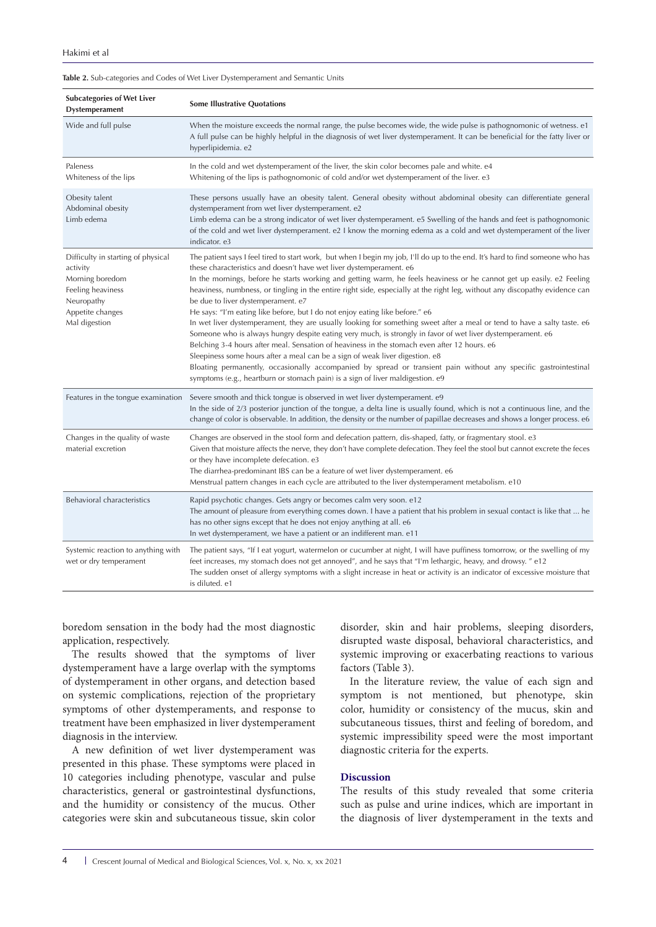#### **Table 2.** Sub-categories and Codes of Wet Liver Dystemperament and Semantic Units

| <b>Subcategories of Wet Liver</b><br>Dystemperament                                                                                       | <b>Some Illustrative Quotations</b>                                                                                                                                                                                                                                                                                                                                                                                                                                                                                                                                                                                                                                                                                                                                                                                                                                                                                                                                                                                                                                                                                                                                                                                  |
|-------------------------------------------------------------------------------------------------------------------------------------------|----------------------------------------------------------------------------------------------------------------------------------------------------------------------------------------------------------------------------------------------------------------------------------------------------------------------------------------------------------------------------------------------------------------------------------------------------------------------------------------------------------------------------------------------------------------------------------------------------------------------------------------------------------------------------------------------------------------------------------------------------------------------------------------------------------------------------------------------------------------------------------------------------------------------------------------------------------------------------------------------------------------------------------------------------------------------------------------------------------------------------------------------------------------------------------------------------------------------|
| Wide and full pulse                                                                                                                       | When the moisture exceeds the normal range, the pulse becomes wide, the wide pulse is pathognomonic of wetness. e1<br>A full pulse can be highly helpful in the diagnosis of wet liver dystemperament. It can be beneficial for the fatty liver or<br>hyperlipidemia. e2                                                                                                                                                                                                                                                                                                                                                                                                                                                                                                                                                                                                                                                                                                                                                                                                                                                                                                                                             |
| Paleness<br>Whiteness of the lips                                                                                                         | In the cold and wet dystemperament of the liver, the skin color becomes pale and white. e4<br>Whitening of the lips is pathognomonic of cold and/or wet dystemperament of the liver. e3                                                                                                                                                                                                                                                                                                                                                                                                                                                                                                                                                                                                                                                                                                                                                                                                                                                                                                                                                                                                                              |
| Obesity talent<br>Abdominal obesity<br>Limb edema                                                                                         | These persons usually have an obesity talent. General obesity without abdominal obesity can differentiate general<br>dystemperament from wet liver dystemperament. e2<br>Limb edema can be a strong indicator of wet liver dystemperament. e5 Swelling of the hands and feet is pathognomonic<br>of the cold and wet liver dystemperament. e2 I know the morning edema as a cold and wet dystemperament of the liver<br>indicator. e3                                                                                                                                                                                                                                                                                                                                                                                                                                                                                                                                                                                                                                                                                                                                                                                |
| Difficulty in starting of physical<br>activity<br>Morning boredom<br>Feeling heaviness<br>Neuropathy<br>Appetite changes<br>Mal digestion | The patient says I feel tired to start work, but when I begin my job, I'll do up to the end. It's hard to find someone who has<br>these characteristics and doesn't have wet liver dystemperament. e6<br>In the mornings, before he starts working and getting warm, he feels heaviness or he cannot get up easily. e2 Feeling<br>heaviness, numbness, or tingling in the entire right side, especially at the right leg, without any discopathy evidence can<br>be due to liver dystemperament. e7<br>He says: "I'm eating like before, but I do not enjoy eating like before." e6<br>In wet liver dystemperament, they are usually looking for something sweet after a meal or tend to have a salty taste. e6<br>Someone who is always hungry despite eating very much, is strongly in favor of wet liver dystemperament. e6<br>Belching 3-4 hours after meal. Sensation of heaviness in the stomach even after 12 hours. e6<br>Sleepiness some hours after a meal can be a sign of weak liver digestion. e8<br>Bloating permanently, occasionally accompanied by spread or transient pain without any specific gastrointestinal<br>symptoms (e.g., heartburn or stomach pain) is a sign of liver maldigestion. e9 |
| Features in the tongue examination                                                                                                        | Severe smooth and thick tongue is observed in wet liver dystemperament. e9<br>In the side of 2/3 posterior junction of the tongue, a delta line is usually found, which is not a continuous line, and the<br>change of color is observable. In addition, the density or the number of papillae decreases and shows a longer process. e6                                                                                                                                                                                                                                                                                                                                                                                                                                                                                                                                                                                                                                                                                                                                                                                                                                                                              |
| Changes in the quality of waste<br>material excretion                                                                                     | Changes are observed in the stool form and defecation pattern, dis-shaped, fatty, or fragmentary stool. e3<br>Given that moisture affects the nerve, they don't have complete defecation. They feel the stool but cannot excrete the feces<br>or they have incomplete defecation. e3<br>The diarrhea-predominant IBS can be a feature of wet liver dystemperament. e6<br>Menstrual pattern changes in each cycle are attributed to the liver dystemperament metabolism. e10                                                                                                                                                                                                                                                                                                                                                                                                                                                                                                                                                                                                                                                                                                                                          |
| Behavioral characteristics                                                                                                                | Rapid psychotic changes. Gets angry or becomes calm very soon. e12<br>The amount of pleasure from everything comes down. I have a patient that his problem in sexual contact is like that  he<br>has no other signs except that he does not enjoy anything at all. e6<br>In wet dystemperament, we have a patient or an indifferent man. e11                                                                                                                                                                                                                                                                                                                                                                                                                                                                                                                                                                                                                                                                                                                                                                                                                                                                         |
| Systemic reaction to anything with<br>wet or dry temperament                                                                              | The patient says, "If I eat yogurt, watermelon or cucumber at night, I will have puffiness tomorrow, or the swelling of my<br>feet increases, my stomach does not get annoyed", and he says that "I'm lethargic, heavy, and drowsy. " e12<br>The sudden onset of allergy symptoms with a slight increase in heat or activity is an indicator of excessive moisture that<br>is diluted, e1                                                                                                                                                                                                                                                                                                                                                                                                                                                                                                                                                                                                                                                                                                                                                                                                                            |

boredom sensation in the body had the most diagnostic application, respectively.

The results showed that the symptoms of liver dystemperament have a large overlap with the symptoms of dystemperament in other organs, and detection based on systemic complications, rejection of the proprietary symptoms of other dystemperaments, and response to treatment have been emphasized in liver dystemperament diagnosis in the interview.

A new definition of wet liver dystemperament was presented in this phase. These symptoms were placed in 10 categories including phenotype, vascular and pulse characteristics, general or gastrointestinal dysfunctions, and the humidity or consistency of the mucus. Other categories were skin and subcutaneous tissue, skin color

disorder, skin and hair problems, sleeping disorders, disrupted waste disposal, behavioral characteristics, and systemic improving or exacerbating reactions to various factors (Table 3).

In the literature review, the value of each sign and symptom is not mentioned, but phenotype, skin color, humidity or consistency of the mucus, skin and subcutaneous tissues, thirst and feeling of boredom, and systemic impressibility speed were the most important diagnostic criteria for the experts.

# **Discussion**

The results of this study revealed that some criteria such as pulse and urine indices, which are important in the diagnosis of liver dystemperament in the texts and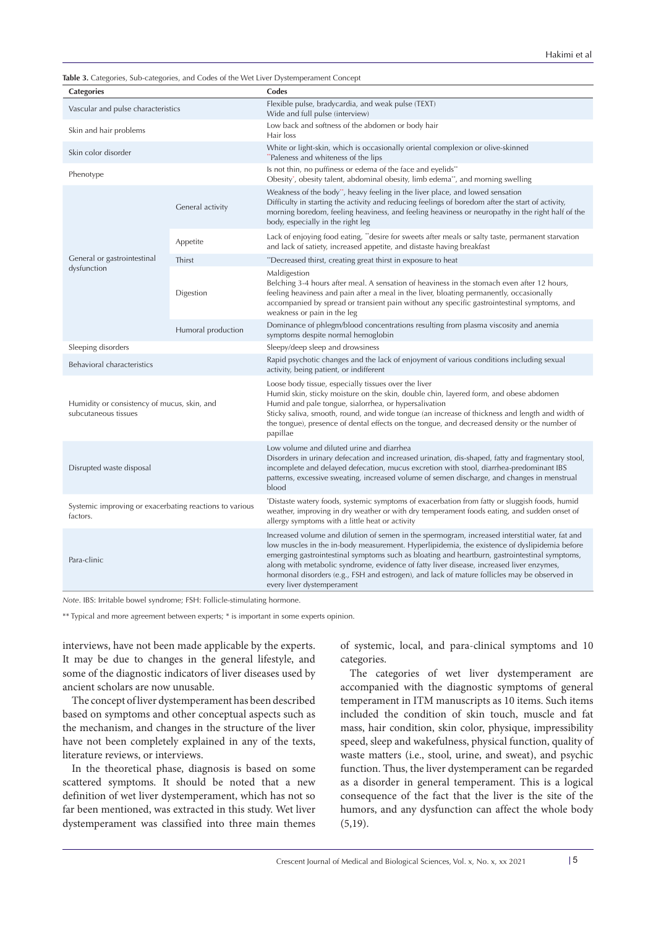|  |  |  | Table 3. Categories, Sub-categories, and Codes of the Wet Liver Dystemperament Concept |
|--|--|--|----------------------------------------------------------------------------------------|
|  |  |  |                                                                                        |

| <b>Categories</b>                                                   |                  | Codes                                                                                                                                                                                                                                                                                                                                                                                                                                                                                                                      |  |
|---------------------------------------------------------------------|------------------|----------------------------------------------------------------------------------------------------------------------------------------------------------------------------------------------------------------------------------------------------------------------------------------------------------------------------------------------------------------------------------------------------------------------------------------------------------------------------------------------------------------------------|--|
| Vascular and pulse characteristics                                  |                  | Flexible pulse, bradycardia, and weak pulse (TEXT)<br>Wide and full pulse (interview)                                                                                                                                                                                                                                                                                                                                                                                                                                      |  |
| Skin and hair problems                                              |                  | Low back and softness of the abdomen or body hair<br>Hair loss                                                                                                                                                                                                                                                                                                                                                                                                                                                             |  |
| Skin color disorder                                                 |                  | White or light-skin, which is occasionally oriental complexion or olive-skinned<br>"Paleness and whiteness of the lips                                                                                                                                                                                                                                                                                                                                                                                                     |  |
| Phenotype                                                           |                  | Is not thin, no puffiness or edema of the face and eyelids**<br>Obesity', obesity talent, abdominal obesity, limb edema**, and morning swelling                                                                                                                                                                                                                                                                                                                                                                            |  |
|                                                                     | General activity | Weakness of the body", heavy feeling in the liver place, and lowed sensation<br>Difficulty in starting the activity and reducing feelings of boredom after the start of activity,<br>morning boredom, feeling heaviness, and feeling heaviness or neuropathy in the right half of the<br>body, especially in the right leg                                                                                                                                                                                                 |  |
|                                                                     | Appetite         | Lack of enjoying food eating, "desire for sweets after meals or salty taste, permanent starvation<br>and lack of satiety, increased appetite, and distaste having breakfast                                                                                                                                                                                                                                                                                                                                                |  |
| General or gastrointestinal                                         | Thirst           | "Decreased thirst, creating great thirst in exposure to heat                                                                                                                                                                                                                                                                                                                                                                                                                                                               |  |
| dysfunction                                                         | Digestion        | Maldigestion<br>Belching 3-4 hours after meal. A sensation of heaviness in the stomach even after 12 hours,<br>feeling heaviness and pain after a meal in the liver, bloating permanently, occasionally<br>accompanied by spread or transient pain without any specific gastrointestinal symptoms, and<br>weakness or pain in the leg                                                                                                                                                                                      |  |
| Humoral production                                                  |                  | Dominance of phlegm/blood concentrations resulting from plasma viscosity and anemia<br>symptoms despite normal hemoglobin                                                                                                                                                                                                                                                                                                                                                                                                  |  |
| Sleeping disorders                                                  |                  | Sleepy/deep sleep and drowsiness                                                                                                                                                                                                                                                                                                                                                                                                                                                                                           |  |
| Behavioral characteristics                                          |                  | Rapid psychotic changes and the lack of enjoyment of various conditions including sexual<br>activity, being patient, or indifferent                                                                                                                                                                                                                                                                                                                                                                                        |  |
| Humidity or consistency of mucus, skin, and<br>subcutaneous tissues |                  | Loose body tissue, especially tissues over the liver<br>Humid skin, sticky moisture on the skin, double chin, layered form, and obese abdomen<br>Humid and pale tongue, sialorrhea, or hypersalivation<br>Sticky saliva, smooth, round, and wide tongue (an increase of thickness and length and width of<br>the tongue), presence of dental effects on the tongue, and decreased density or the number of<br>papillae                                                                                                     |  |
| Disrupted waste disposal                                            |                  | Low volume and diluted urine and diarrhea<br>Disorders in urinary defecation and increased urination, dis-shaped, fatty and fragmentary stool,<br>incomplete and delayed defecation, mucus excretion with stool, diarrhea-predominant IBS<br>patterns, excessive sweating, increased volume of semen discharge, and changes in menstrual<br>blood                                                                                                                                                                          |  |
| Systemic improving or exacerbating reactions to various<br>factors. |                  | *Distaste watery foods, systemic symptoms of exacerbation from fatty or sluggish foods, humid<br>weather, improving in dry weather or with dry temperament foods eating, and sudden onset of<br>allergy symptoms with a little heat or activity                                                                                                                                                                                                                                                                            |  |
| Para-clinic                                                         |                  | Increased volume and dilution of semen in the spermogram, increased interstitial water, fat and<br>low muscles in the in-body measurement. Hyperlipidemia, the existence of dyslipidemia before<br>emerging gastrointestinal symptoms such as bloating and heartburn, gastrointestinal symptoms,<br>along with metabolic syndrome, evidence of fatty liver disease, increased liver enzymes,<br>hormonal disorders (e.g., FSH and estrogen), and lack of mature follicles may be observed in<br>every liver dystemperament |  |

*Note*. IBS: Irritable bowel syndrome; FSH: Follicle-stimulating hormone.

\*\* Typical and more agreement between experts; \* is important in some experts opinion.

interviews, have not been made applicable by the experts. It may be due to changes in the general lifestyle, and some of the diagnostic indicators of liver diseases used by ancient scholars are now unusable.

The concept of liver dystemperament has been described based on symptoms and other conceptual aspects such as the mechanism, and changes in the structure of the liver have not been completely explained in any of the texts, literature reviews, or interviews.

In the theoretical phase, diagnosis is based on some scattered symptoms. It should be noted that a new definition of wet liver dystemperament, which has not so far been mentioned, was extracted in this study. Wet liver dystemperament was classified into three main themes

of systemic, local, and para-clinical symptoms and 10 categories.

The categories of wet liver dystemperament are accompanied with the diagnostic symptoms of general temperament in ITM manuscripts as 10 items. Such items included the condition of skin touch, muscle and fat mass, hair condition, skin color, physique, impressibility speed, sleep and wakefulness, physical function, quality of waste matters (i.e., stool, urine, and sweat), and psychic function. Thus, the liver dystemperament can be regarded as a disorder in general temperament. This is a logical consequence of the fact that the liver is the site of the humors, and any dysfunction can affect the whole body (5,19).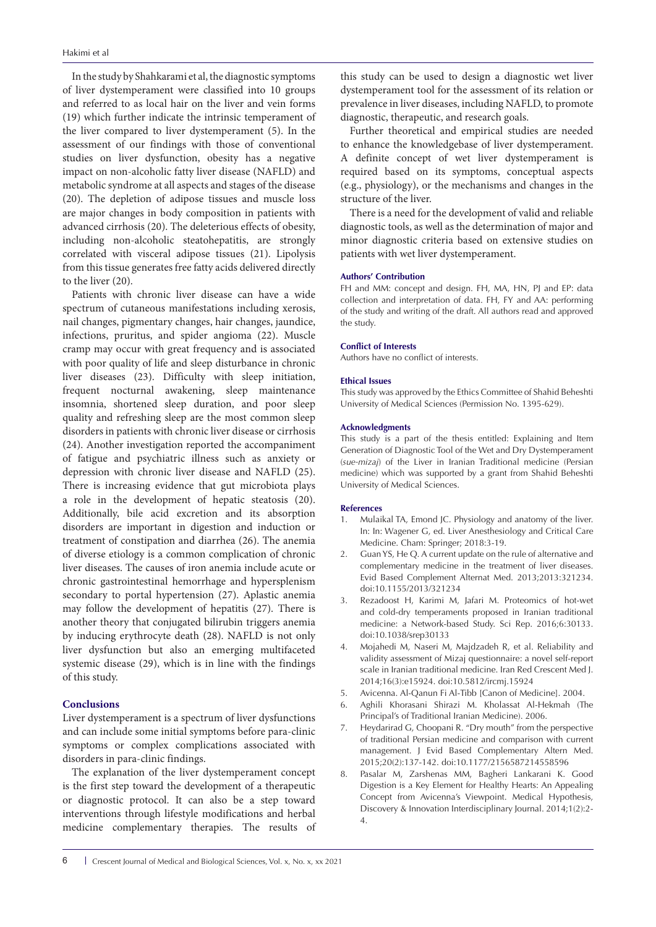In the study by Shahkarami et al, the diagnostic symptoms of liver dystemperament were classified into 10 groups and referred to as local hair on the liver and vein forms (19) which further indicate the intrinsic temperament of the liver compared to liver dystemperament (5). In the assessment of our findings with those of conventional studies on liver dysfunction, obesity has a negative impact on non-alcoholic fatty liver disease (NAFLD) and metabolic syndrome at all aspects and stages of the disease (20). The depletion of adipose tissues and muscle loss are major changes in body composition in patients with advanced cirrhosis (20). The deleterious effects of obesity, including non-alcoholic steatohepatitis, are strongly correlated with visceral adipose tissues (21). Lipolysis from this tissue generates free fatty acids delivered directly to the liver (20).

Patients with chronic liver disease can have a wide spectrum of cutaneous manifestations including xerosis, nail changes, pigmentary changes, hair changes, jaundice, infections, pruritus, and spider angioma (22). Muscle cramp may occur with great frequency and is associated with poor quality of life and sleep disturbance in chronic liver diseases (23). Difficulty with sleep initiation, frequent nocturnal awakening, sleep maintenance insomnia, shortened sleep duration, and poor sleep quality and refreshing sleep are the most common sleep disorders in patients with chronic liver disease or cirrhosis (24). Another investigation reported the accompaniment of fatigue and psychiatric illness such as anxiety or depression with chronic liver disease and NAFLD (25). There is increasing evidence that gut microbiota plays a role in the development of hepatic steatosis (20). Additionally, bile acid excretion and its absorption disorders are important in digestion and induction or treatment of constipation and diarrhea (26). The anemia of diverse etiology is a common complication of chronic liver diseases. The causes of iron anemia include acute or chronic gastrointestinal hemorrhage and hypersplenism secondary to portal hypertension (27). Aplastic anemia may follow the development of hepatitis (27). There is another theory that conjugated bilirubin triggers anemia by inducing erythrocyte death (28). NAFLD is not only liver dysfunction but also an emerging multifaceted systemic disease (29), which is in line with the findings of this study.

# **Conclusions**

Liver dystemperament is a spectrum of liver dysfunctions and can include some initial symptoms before para-clinic symptoms or complex complications associated with disorders in para-clinic findings.

The explanation of the liver dystemperament concept is the first step toward the development of a therapeutic or diagnostic protocol. It can also be a step toward interventions through lifestyle modifications and herbal medicine complementary therapies. The results of

this study can be used to design a diagnostic wet liver dystemperament tool for the assessment of its relation or prevalence in liver diseases, including NAFLD, to promote diagnostic, therapeutic, and research goals.

Further theoretical and empirical studies are needed to enhance the knowledgebase of liver dystemperament. A definite concept of wet liver dystemperament is required based on its symptoms, conceptual aspects (e.g., physiology), or the mechanisms and changes in the structure of the liver.

There is a need for the development of valid and reliable diagnostic tools, as well as the determination of major and minor diagnostic criteria based on extensive studies on patients with wet liver dystemperament.

#### **Authors' Contribution**

FH and MM: concept and design. FH, MA, HN, PJ and EP: data collection and interpretation of data. FH, FY and AA: performing of the study and writing of the draft. All authors read and approved the study.

#### **Conflict of Interests**

Authors have no conflict of interests.

#### **Ethical Issues**

This study was approved by the Ethics Committee of Shahid Beheshti University of Medical Sciences (Permission No. 1395-629).

#### **Acknowledgments**

This study is a part of the thesis entitled: Explaining and Item Generation of Diagnostic Tool of the Wet and Dry Dystemperament (*sue-mizaj*) of the Liver in Iranian Traditional medicine (Persian medicine) which was supported by a grant from Shahid Beheshti University of Medical Sciences.

#### **References**

- 1. Mulaikal TA, Emond JC. Physiology and anatomy of the liver. In: In: Wagener G, ed. Liver Anesthesiology and Critical Care Medicine. Cham: Springer; 2018:3-19.
- 2. Guan YS, He Q. A current update on the rule of alternative and complementary medicine in the treatment of liver diseases. Evid Based Complement Alternat Med. 2013;2013:321234. doi:10.1155/2013/321234
- 3. Rezadoost H, Karimi M, Jafari M. Proteomics of hot-wet and cold-dry temperaments proposed in Iranian traditional medicine: a Network-based Study. Sci Rep. 2016;6:30133. doi:10.1038/srep30133
- 4. Mojahedi M, Naseri M, Majdzadeh R, et al. Reliability and validity assessment of Mizaj questionnaire: a novel self-report scale in Iranian traditional medicine. Iran Red Crescent Med J. 2014;16(3):e15924. doi:10.5812/ircmj.15924
- 5. Avicenna. Al-Qanun Fi Al-Tibb [Canon of Medicine]. 2004.
- 6. Aghili Khorasani Shirazi M. Kholassat Al-Hekmah (The Principal's of Traditional Iranian Medicine). 2006.
- 7. Heydarirad G, Choopani R. "Dry mouth" from the perspective of traditional Persian medicine and comparison with current management. J Evid Based Complementary Altern Med. 2015;20(2):137-142. doi:10.1177/2156587214558596
- 8. Pasalar M, Zarshenas MM, Bagheri Lankarani K. Good Digestion is a Key Element for Healthy Hearts: An Appealing Concept from Avicenna's Viewpoint. Medical Hypothesis, Discovery & Innovation Interdisciplinary Journal. 2014;1(2):2- 4.